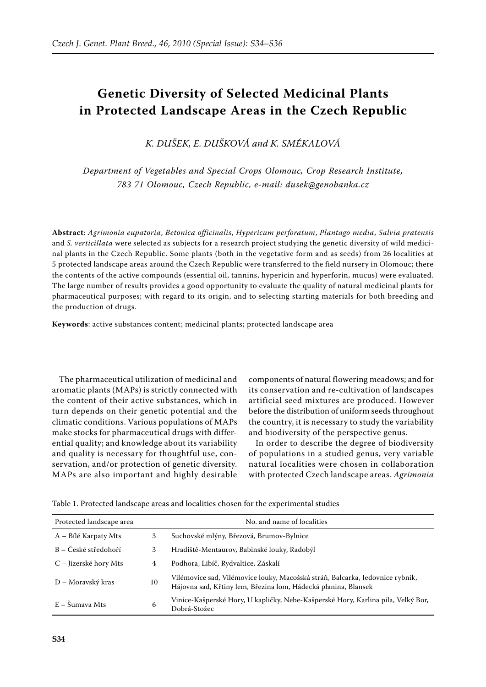## **Genetic Diversity of Selected Medicinal Plants in Protected Landscape Areas in the Czech Republic**

*K. Dušek, E. Dušková and K. Smékalová*

*Department of Vegetables and Special Crops Olomouc, Crop Research Institute, 783 71 Olomouc, Czech Republic, e-mail: dusek@genobanka.cz*

**Abstract**: *Agrimonia eupatoria*, *Betonica officinalis*, *Hypericum perforatum*, *Plantago media*, *Salvia pratensis* and *S. verticillata* were selected as subjects for a research project studying the genetic diversity of wild medicinal plants in the Czech Republic. Some plants (both in the vegetative form and as seeds) from 26 localities at 5 protected landscape areas around the Czech Republic were transferred to the field nursery in Olomouc; there the contents of the active compounds (essential oil, tannins, hypericin and hyperforin, mucus) were evaluated. The large number of results provides a good opportunity to evaluate the quality of natural medicinal plants for pharmaceutical purposes; with regard to its origin, and to selecting starting materials for both breeding and the production of drugs.

**Keywords**: active substances content; medicinal plants; protected landscape area

The pharmaceutical utilization of medicinal and aromatic plants (MAPs) is strictly connected with the content of their active substances, which in turn depends on their genetic potential and the climatic conditions. Various populations of MAPs make stocks for pharmaceutical drugs with differential quality; and knowledge about its variability and quality is necessary for thoughtful use, conservation, and/or protection of genetic diversity. MAPs are also important and highly desirable

components of natural flowering meadows; and for its conservation and re-cultivation of landscapes artificial seed mixtures are produced. However before the distribution of uniform seeds throughout the country, it is necessary to study the variability and biodiversity of the perspective genus.

In order to describe the degree of biodiversity of populations in a studied genus, very variable natural localities were chosen in collaboration with protected Czech landscape areas. *Agrimonia* 

Table 1. Protected landscape areas and localities chosen for the experimental studies

| Protected landscape area  |    | No. and name of localities                                                                                                                      |
|---------------------------|----|-------------------------------------------------------------------------------------------------------------------------------------------------|
| A – Bílé Karpaty Mts      | 3  | Suchovské mlýny, Březová, Brumov-Bylnice                                                                                                        |
| B – České středohoří      | 3  | Hradiště-Mentaurov, Babinské louky, Radobýl                                                                                                     |
| C – Jizerské hory Mts     | 4  | Podhora, Libíč, Rydvaltice, Záskalí                                                                                                             |
| D – Moravský kras         | 10 | Vilémovice sad, Vilémovice louky, Macošská stráň, Balcarka, Jedovnice rybník,<br>Hájovna sad, Křtiny lem, Březina lom, Hádecká planina, Blansek |
| $E - \tilde{S}$ umava Mts | 6  | Vinice-Kašperské Hory, U kapličky, Nebe-Kašperské Hory, Karlina pila, Velký Bor,<br>Dobrá-Stožec                                                |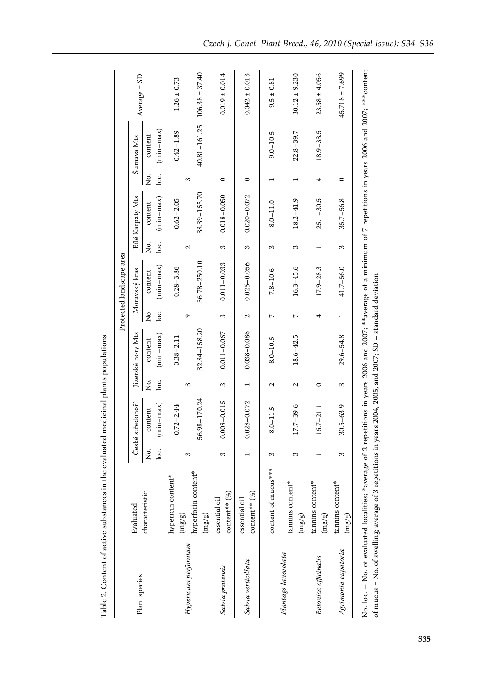|                                                                                                                                                                                                                                                                                     |                                                    |      |                     |                   |                   |                          | Protected landscape area |                   |                         |         |               |                                 |
|-------------------------------------------------------------------------------------------------------------------------------------------------------------------------------------------------------------------------------------------------------------------------------------|----------------------------------------------------|------|---------------------|-------------------|-------------------|--------------------------|--------------------------|-------------------|-------------------------|---------|---------------|---------------------------------|
| Plant species                                                                                                                                                                                                                                                                       | Evaluated                                          |      | České středohoří    |                   | Jizerské hory Mts |                          | Moravský kras            |                   | <b>Bílé Karpaty Mts</b> |         | Šumava Mts    | Average $\pm$ SD                |
|                                                                                                                                                                                                                                                                                     | characteristic                                     | Ż.   | content             | ,<br>Ž            | content           | ,<br>Š                   | content                  | ,<br>Ž            | content                 | ,<br>Š  | content       |                                 |
|                                                                                                                                                                                                                                                                                     |                                                    | ن ما | $min-max)$          | loc.              | $(min-max)$       | loc.                     | $(min-max)$              | loc.              | $(min-max)$             | loc.    | $(min-max)$   |                                 |
|                                                                                                                                                                                                                                                                                     | hypericin content*<br>$\left( \frac{2}{3} \right)$ |      | $0.72 - 2.44$       |                   | $0.38 - 2.11$     |                          | $0.28 - 3.86$            |                   | $0.62 - 2.05$           |         | $0.42 - 1.89$ | $1.26 \pm 0.73$                 |
| Hypericum perforatum                                                                                                                                                                                                                                                                |                                                    | 3    |                     | 3                 |                   | Ō                        |                          | $\mathbf{\Omega}$ |                         | 3       |               |                                 |
|                                                                                                                                                                                                                                                                                     | hyperforin content*<br>$\rm (mg/g)$                |      | 56.98-170.24        |                   | $32.84 - 158.20$  |                          | 36.78-250.10             |                   | 38.39-155.70            |         |               | $40.81 - 161.25$ 106.38 ± 37.40 |
| Salvia pratensis                                                                                                                                                                                                                                                                    | content** (%)<br>essential oil                     | S    | $.008 - 0.015$<br>0 | 3                 | $0.011 - 0.067$   | 3                        | $0.011 - 0.033$          | 3                 | $0.018 - 0.050$         | 0       |               | $0.019 \pm 0.014$               |
| Salvia verticillata                                                                                                                                                                                                                                                                 | $content**(%)$<br>essential oil                    |      | $0.028 - 0.072$     |                   | 0.038-0.086       | 2                        | $0.025 - 0.056$          | 3                 | $0.020 - 0.072$         | $\circ$ |               | $0.042 \pm 0.013$               |
|                                                                                                                                                                                                                                                                                     | content of mucus***                                | S    | $8.0 - 11.5$        | $\mathbf{\Omega}$ | $8.0 - 10.5$      | $\overline{\phantom{0}}$ | $7.8 - 10.6$             | 3                 | $8.0 - 11.0$            |         | $9.0 - 10.5$  | $9.5 \pm 0.81$                  |
| Plantago lanceolata                                                                                                                                                                                                                                                                 | tannins content*<br>$\left( \frac{3}{2}\right)$    | 3    | 17.7-39.6           | Z                 | $18.6 - 42.5$     | $\sim$                   | $16.3 - 45.6$            | 3                 | $18.2 - 41.9$           |         | $22.8 - 39.7$ | $30.12 \pm 9.230$               |
| Betonica officinalis                                                                                                                                                                                                                                                                | tannins content*<br>$\rm (mg/g)$                   |      | $16.7 - 21.1$       | $\circ$           |                   | 4                        | $17.9 - 28.3$            |                   | $25.1 - 30.5$           | 4       | $18.9 - 33.5$ | $23.58 \pm 4.056$               |
| Agrimonia eupatoria                                                                                                                                                                                                                                                                 | tannins content*<br>$\left(\frac{1}{2}\right)$     | S    | $30.5 - 63.9$       | 3                 | $29.6 - 54.8$     |                          | 41.7-56.0                | 3                 | $35.7 - 56.8$           | $\circ$ |               | $45.718 \pm 7.699$              |
| No. 1oc. – No. of evaluated localities; *average of 2 repetitions in years 2006 and 2007; **average of a minimum of 7 repetitions in years 2006 and 2007; ***content<br>of mucus = No. of swelling; average of 3 repetitions in years 2004, 2005, and 2007; SD – standard deviation |                                                    |      |                     |                   |                   |                          |                          |                   |                         |         |               |                                 |

Table 2. Content of active substances in the evaluated medicinal plants populations

Table 2. Content of active substances in the evaluated medicinal plants populations

S**35**